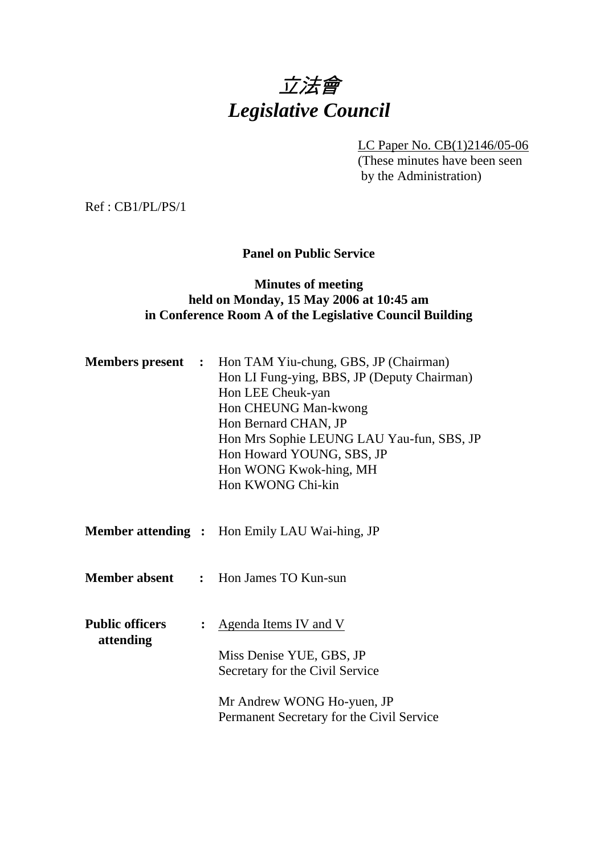

LC Paper No. CB(1)2146/05-06 (These minutes have been seen by the Administration)

Ref : CB1/PL/PS/1

### **Panel on Public Service**

### **Minutes of meeting held on Monday, 15 May 2006 at 10:45 am in Conference Room A of the Legislative Council Building**

|                                     |                | <b>Members present :</b> Hon TAM Yiu-chung, GBS, JP (Chairman)<br>Hon LI Fung-ying, BBS, JP (Deputy Chairman)<br>Hon LEE Cheuk-yan<br>Hon CHEUNG Man-kwong<br>Hon Bernard CHAN, JP<br>Hon Mrs Sophie LEUNG LAU Yau-fun, SBS, JP<br>Hon Howard YOUNG, SBS, JP<br>Hon WONG Kwok-hing, MH<br>Hon KWONG Chi-kin |
|-------------------------------------|----------------|-------------------------------------------------------------------------------------------------------------------------------------------------------------------------------------------------------------------------------------------------------------------------------------------------------------|
|                                     |                | <b>Member attending :</b> Hon Emily LAU Wai-hing, JP                                                                                                                                                                                                                                                        |
|                                     |                | <b>Member absent</b> : Hon James TO Kun-sun                                                                                                                                                                                                                                                                 |
| <b>Public officers</b><br>attending | $\ddot{\cdot}$ | <u>Agenda Items IV and V</u><br>Miss Denise YUE, GBS, JP<br>Secretary for the Civil Service<br>Mr Andrew WONG Ho-yuen, JP<br>Permanent Secretary for the Civil Service                                                                                                                                      |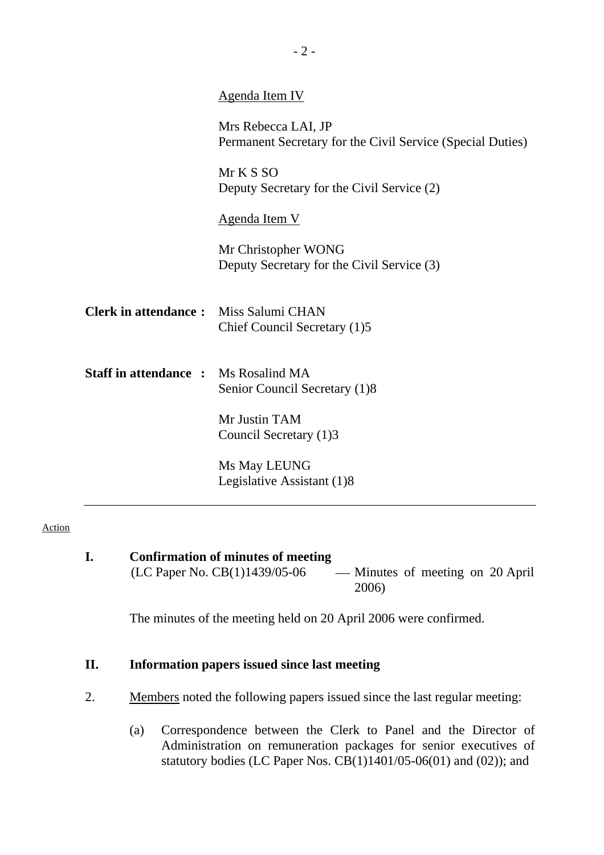|                                             | <b>Agenda Item IV</b>                                                             |
|---------------------------------------------|-----------------------------------------------------------------------------------|
|                                             | Mrs Rebecca LAI, JP<br>Permanent Secretary for the Civil Service (Special Duties) |
|                                             | Mr K S SO<br>Deputy Secretary for the Civil Service (2)                           |
|                                             | Agenda Item V                                                                     |
|                                             | Mr Christopher WONG<br>Deputy Secretary for the Civil Service (3)                 |
| <b>Clerk in attendance:</b>                 | Miss Salumi CHAN<br>Chief Council Secretary (1)5                                  |
| <b>Staff in attendance :</b> Ms Rosalind MA | Senior Council Secretary (1)8                                                     |
|                                             | Mr Justin TAM<br>Council Secretary (1)3                                           |
|                                             | Ms May LEUNG<br>Legislative Assistant (1)8                                        |

#### Action

| Confirmation of minutes of meeting |                                  |
|------------------------------------|----------------------------------|
| (LC Paper No. $CB(1)1439/05-06$    | — Minutes of meeting on 20 April |
|                                    | 2006)                            |

The minutes of the meeting held on 20 April 2006 were confirmed.

### **II. Information papers issued since last meeting**

- 2. Members noted the following papers issued since the last regular meeting:
	- (a) Correspondence between the Clerk to Panel and the Director of Administration on remuneration packages for senior executives of statutory bodies (LC Paper Nos.  $\overline{CB}(1)1401/05-06(01)$  and  $(02)$ ); and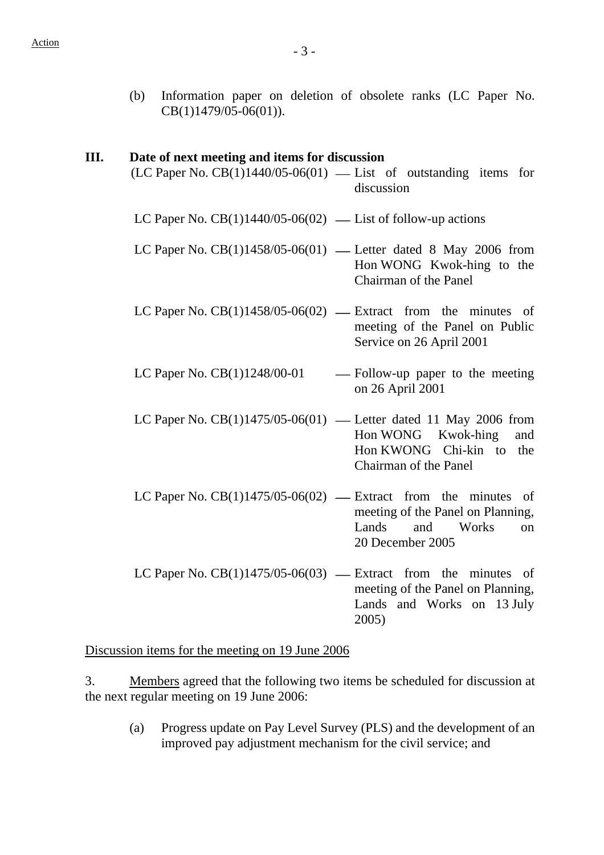(b) Information paper on deletion of obsolete ranks (LC Paper No. CB(1)1479/05-06(01)).

#### **III. Date of next meeting and items for discussion**

 $(LC$  Paper No.  $CB(1)1440/05-06(01)$  — List of outstanding items for discussion

LC Paper No.  $CB(1)1440/05-06(02)$  — List of follow-up actions

- LC Paper No.  $CB(1)1458/05-06(01)$  Letter dated 8 May 2006 from Hon WONG Kwok-hing to the Chairman of the Panel
- LC Paper No.  $CB(1)1458/05-06(02)$  Extract from the minutes of meeting of the Panel on Public Service on 26 April 2001
- LC Paper No.  $CB(1)1248/00-01$  Follow-up paper to the meeting on 26 April 2001
- LC Paper No.  $CB(1)1475/05-06(01)$  Letter dated 11 May 2006 from Hon WONG Kwok-hing and Hon KWONG Chi-kin to the Chairman of the Panel
- LC Paper No.  $CB(1)1475/05-06(02)$  Extract from the minutes of meeting of the Panel on Planning, Lands and Works on 20 December 2005
- LC Paper No.  $CB(1)1475/05-06(03)$  Extract from the minutes of meeting of the Panel on Planning, Lands and Works on 13 July 2005)

Discussion items for the meeting on 19 June 2006

3. Members agreed that the following two items be scheduled for discussion at the next regular meeting on 19 June 2006:

(a) Progress update on Pay Level Survey (PLS) and the development of an improved pay adjustment mechanism for the civil service; and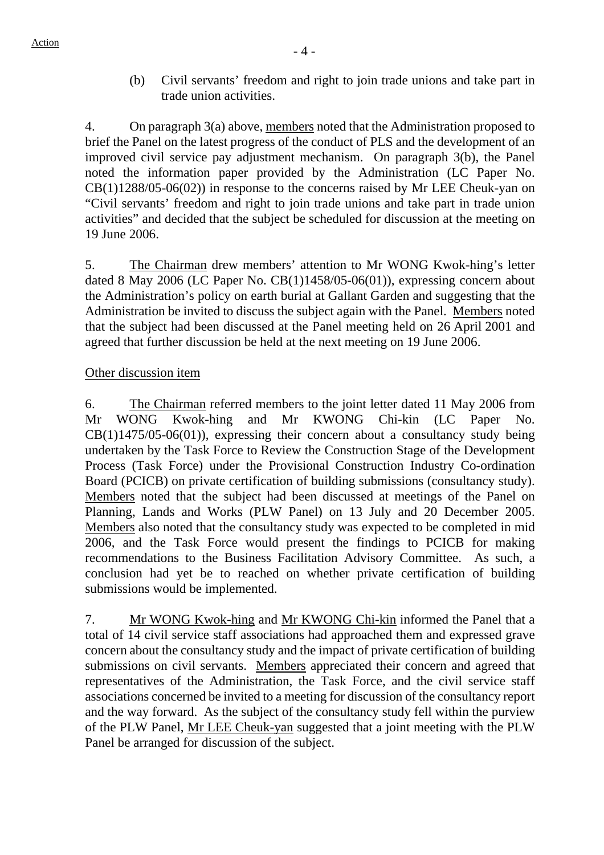(b) Civil servants' freedom and right to join trade unions and take part in trade union activities.

4. On paragraph 3(a) above, members noted that the Administration proposed to brief the Panel on the latest progress of the conduct of PLS and the development of an improved civil service pay adjustment mechanism. On paragraph 3(b), the Panel noted the information paper provided by the Administration (LC Paper No. CB(1)1288/05-06(02)) in response to the concerns raised by Mr LEE Cheuk-yan on "Civil servants' freedom and right to join trade unions and take part in trade union activities" and decided that the subject be scheduled for discussion at the meeting on 19 June 2006.

5. The Chairman drew members' attention to Mr WONG Kwok-hing's letter dated 8 May 2006 (LC Paper No. CB(1)1458/05-06(01)), expressing concern about the Administration's policy on earth burial at Gallant Garden and suggesting that the Administration be invited to discuss the subject again with the Panel. Members noted that the subject had been discussed at the Panel meeting held on 26 April 2001 and agreed that further discussion be held at the next meeting on 19 June 2006.

### Other discussion item

6. The Chairman referred members to the joint letter dated 11 May 2006 from Mr WONG Kwok-hing and Mr KWONG Chi-kin (LC Paper No.  $CB(1)1475/05-06(01)$ , expressing their concern about a consultancy study being undertaken by the Task Force to Review the Construction Stage of the Development Process (Task Force) under the Provisional Construction Industry Co-ordination Board (PCICB) on private certification of building submissions (consultancy study). Members noted that the subject had been discussed at meetings of the Panel on Planning, Lands and Works (PLW Panel) on 13 July and 20 December 2005. Members also noted that the consultancy study was expected to be completed in mid 2006, and the Task Force would present the findings to PCICB for making recommendations to the Business Facilitation Advisory Committee. As such, a conclusion had yet be to reached on whether private certification of building submissions would be implemented.

7. Mr WONG Kwok-hing and Mr KWONG Chi-kin informed the Panel that a total of 14 civil service staff associations had approached them and expressed grave concern about the consultancy study and the impact of private certification of building submissions on civil servants. Members appreciated their concern and agreed that representatives of the Administration, the Task Force, and the civil service staff associations concerned be invited to a meeting for discussion of the consultancy report and the way forward. As the subject of the consultancy study fell within the purview of the PLW Panel, Mr LEE Cheuk-yan suggested that a joint meeting with the PLW Panel be arranged for discussion of the subject.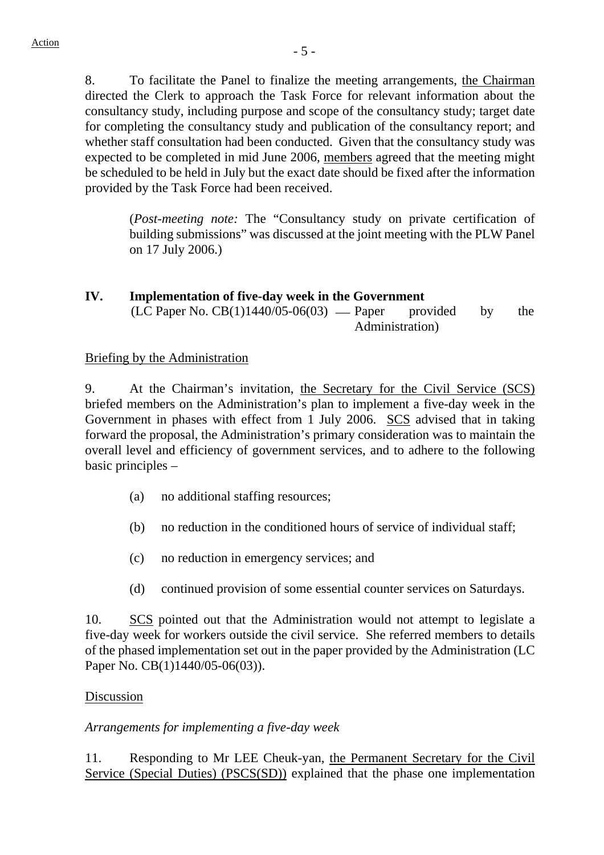8. To facilitate the Panel to finalize the meeting arrangements, the Chairman directed the Clerk to approach the Task Force for relevant information about the consultancy study, including purpose and scope of the consultancy study; target date for completing the consultancy study and publication of the consultancy report; and whether staff consultation had been conducted. Given that the consultancy study was expected to be completed in mid June 2006, members agreed that the meeting might be scheduled to be held in July but the exact date should be fixed after the information provided by the Task Force had been received.

(*Post-meeting note:* The "Consultancy study on private certification of building submissions" was discussed at the joint meeting with the PLW Panel on 17 July 2006.)

#### **IV. Implementation of five-day week in the Government**   $(LC$  Paper No.  $CB(1)1440/05-06(03)$  — Paper provided by the Administration)

### Briefing by the Administration

9. At the Chairman's invitation, the Secretary for the Civil Service (SCS) briefed members on the Administration's plan to implement a five-day week in the Government in phases with effect from 1 July 2006. SCS advised that in taking forward the proposal, the Administration's primary consideration was to maintain the overall level and efficiency of government services, and to adhere to the following basic principles –

- (a) no additional staffing resources;
- (b) no reduction in the conditioned hours of service of individual staff;
- (c) no reduction in emergency services; and
- (d) continued provision of some essential counter services on Saturdays.

10. SCS pointed out that the Administration would not attempt to legislate a five-day week for workers outside the civil service. She referred members to details of the phased implementation set out in the paper provided by the Administration (LC Paper No. CB(1)1440/05-06(03)).

### Discussion

### *Arrangements for implementing a five-day week*

11. Responding to Mr LEE Cheuk-yan, the Permanent Secretary for the Civil Service (Special Duties) (PSCS(SD)) explained that the phase one implementation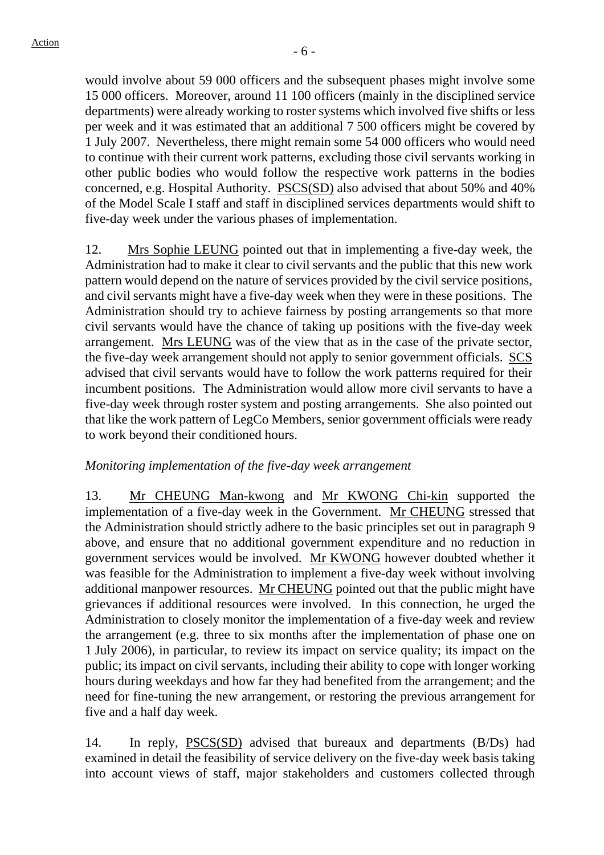would involve about 59 000 officers and the subsequent phases might involve some 15 000 officers. Moreover, around 11 100 officers (mainly in the disciplined service departments) were already working to roster systems which involved five shifts or less per week and it was estimated that an additional 7 500 officers might be covered by 1 July 2007. Nevertheless, there might remain some 54 000 officers who would need to continue with their current work patterns, excluding those civil servants working in other public bodies who would follow the respective work patterns in the bodies concerned, e.g. Hospital Authority. PSCS(SD) also advised that about 50% and 40% of the Model Scale I staff and staff in disciplined services departments would shift to five-day week under the various phases of implementation.

12. Mrs Sophie LEUNG pointed out that in implementing a five-day week, the Administration had to make it clear to civil servants and the public that this new work pattern would depend on the nature of services provided by the civil service positions, and civil servants might have a five-day week when they were in these positions. The Administration should try to achieve fairness by posting arrangements so that more civil servants would have the chance of taking up positions with the five-day week arrangement. Mrs LEUNG was of the view that as in the case of the private sector, the five-day week arrangement should not apply to senior government officials. SCS advised that civil servants would have to follow the work patterns required for their incumbent positions. The Administration would allow more civil servants to have a five-day week through roster system and posting arrangements. She also pointed out that like the work pattern of LegCo Members, senior government officials were ready to work beyond their conditioned hours.

### *Monitoring implementation of the five-day week arrangement*

13. Mr CHEUNG Man-kwong and Mr KWONG Chi-kin supported the implementation of a five-day week in the Government. Mr CHEUNG stressed that the Administration should strictly adhere to the basic principles set out in paragraph 9 above, and ensure that no additional government expenditure and no reduction in government services would be involved. Mr KWONG however doubted whether it was feasible for the Administration to implement a five-day week without involving additional manpower resources. Mr CHEUNG pointed out that the public might have grievances if additional resources were involved. In this connection, he urged the Administration to closely monitor the implementation of a five-day week and review the arrangement (e.g. three to six months after the implementation of phase one on 1 July 2006), in particular, to review its impact on service quality; its impact on the public; its impact on civil servants, including their ability to cope with longer working hours during weekdays and how far they had benefited from the arrangement; and the need for fine-tuning the new arrangement, or restoring the previous arrangement for five and a half day week.

14. In reply, PSCS(SD) advised that bureaux and departments (B/Ds) had examined in detail the feasibility of service delivery on the five-day week basis taking into account views of staff, major stakeholders and customers collected through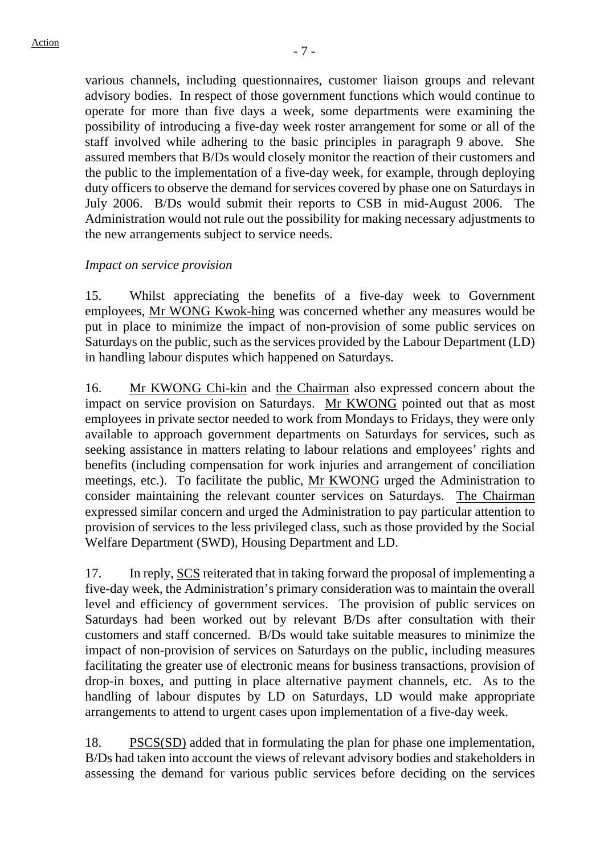various channels, including questionnaires, customer liaison groups and relevant advisory bodies. In respect of those government functions which would continue to operate for more than five days a week, some departments were examining the possibility of introducing a five-day week roster arrangement for some or all of the staff involved while adhering to the basic principles in paragraph 9 above. She assured members that B/Ds would closely monitor the reaction of their customers and the public to the implementation of a five-day week, for example, through deploying duty officers to observe the demand for services covered by phase one on Saturdays in July 2006. B/Ds would submit their reports to CSB in mid-August 2006. The Administration would not rule out the possibility for making necessary adjustments to the new arrangements subject to service needs.

#### *Impact on service provision*

15. Whilst appreciating the benefits of a five-day week to Government employees, Mr WONG Kwok-hing was concerned whether any measures would be put in place to minimize the impact of non-provision of some public services on Saturdays on the public, such as the services provided by the Labour Department (LD) in handling labour disputes which happened on Saturdays.

16. Mr KWONG Chi-kin and the Chairman also expressed concern about the impact on service provision on Saturdays. Mr KWONG pointed out that as most employees in private sector needed to work from Mondays to Fridays, they were only available to approach government departments on Saturdays for services, such as seeking assistance in matters relating to labour relations and employees' rights and benefits (including compensation for work injuries and arrangement of conciliation meetings, etc.). To facilitate the public, Mr KWONG urged the Administration to consider maintaining the relevant counter services on Saturdays. The Chairman expressed similar concern and urged the Administration to pay particular attention to provision of services to the less privileged class, such as those provided by the Social Welfare Department (SWD), Housing Department and LD.

17. In reply, SCS reiterated that in taking forward the proposal of implementing a five-day week, the Administration's primary consideration was to maintain the overall level and efficiency of government services. The provision of public services on Saturdays had been worked out by relevant B/Ds after consultation with their customers and staff concerned. B/Ds would take suitable measures to minimize the impact of non-provision of services on Saturdays on the public, including measures facilitating the greater use of electronic means for business transactions, provision of drop-in boxes, and putting in place alternative payment channels, etc. As to the handling of labour disputes by LD on Saturdays, LD would make appropriate arrangements to attend to urgent cases upon implementation of a five-day week.

18. PSCS(SD) added that in formulating the plan for phase one implementation, B/Ds had taken into account the views of relevant advisory bodies and stakeholders in assessing the demand for various public services before deciding on the services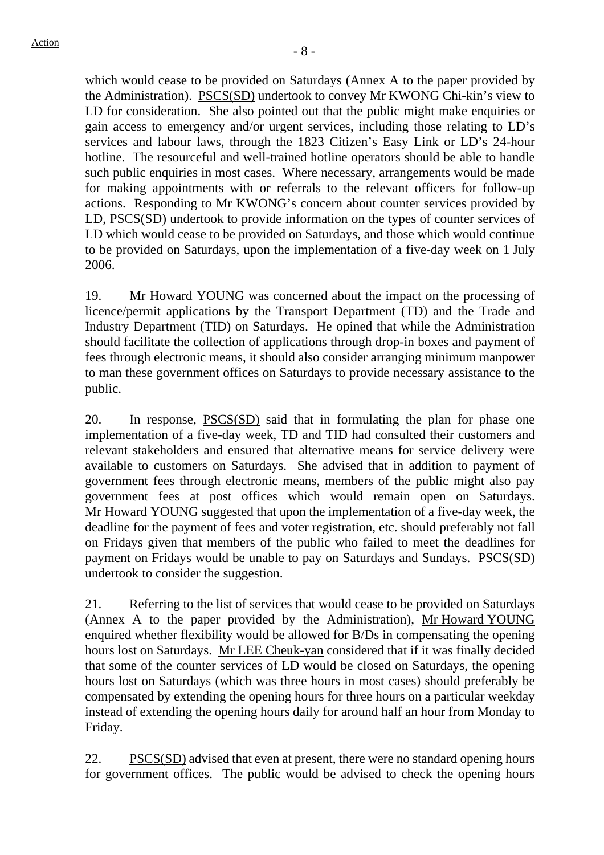which would cease to be provided on Saturdays (Annex A to the paper provided by the Administration). PSCS(SD) undertook to convey Mr KWONG Chi-kin's view to LD for consideration. She also pointed out that the public might make enquiries or gain access to emergency and/or urgent services, including those relating to LD's services and labour laws, through the 1823 Citizen's Easy Link or LD's 24-hour hotline. The resourceful and well-trained hotline operators should be able to handle such public enquiries in most cases. Where necessary, arrangements would be made for making appointments with or referrals to the relevant officers for follow-up actions. Responding to Mr KWONG's concern about counter services provided by LD, PSCS(SD) undertook to provide information on the types of counter services of LD which would cease to be provided on Saturdays, and those which would continue to be provided on Saturdays, upon the implementation of a five-day week on 1 July 2006.

19. Mr Howard YOUNG was concerned about the impact on the processing of licence/permit applications by the Transport Department (TD) and the Trade and Industry Department (TID) on Saturdays. He opined that while the Administration should facilitate the collection of applications through drop-in boxes and payment of fees through electronic means, it should also consider arranging minimum manpower to man these government offices on Saturdays to provide necessary assistance to the public.

20. In response, PSCS(SD) said that in formulating the plan for phase one implementation of a five-day week, TD and TID had consulted their customers and relevant stakeholders and ensured that alternative means for service delivery were available to customers on Saturdays. She advised that in addition to payment of government fees through electronic means, members of the public might also pay government fees at post offices which would remain open on Saturdays. Mr Howard YOUNG suggested that upon the implementation of a five-day week, the deadline for the payment of fees and voter registration, etc. should preferably not fall on Fridays given that members of the public who failed to meet the deadlines for payment on Fridays would be unable to pay on Saturdays and Sundays. PSCS(SD) undertook to consider the suggestion.

21. Referring to the list of services that would cease to be provided on Saturdays (Annex A to the paper provided by the Administration), Mr Howard YOUNG enquired whether flexibility would be allowed for B/Ds in compensating the opening hours lost on Saturdays. Mr LEE Cheuk-yan considered that if it was finally decided that some of the counter services of LD would be closed on Saturdays, the opening hours lost on Saturdays (which was three hours in most cases) should preferably be compensated by extending the opening hours for three hours on a particular weekday instead of extending the opening hours daily for around half an hour from Monday to Friday.

22. PSCS(SD) advised that even at present, there were no standard opening hours for government offices. The public would be advised to check the opening hours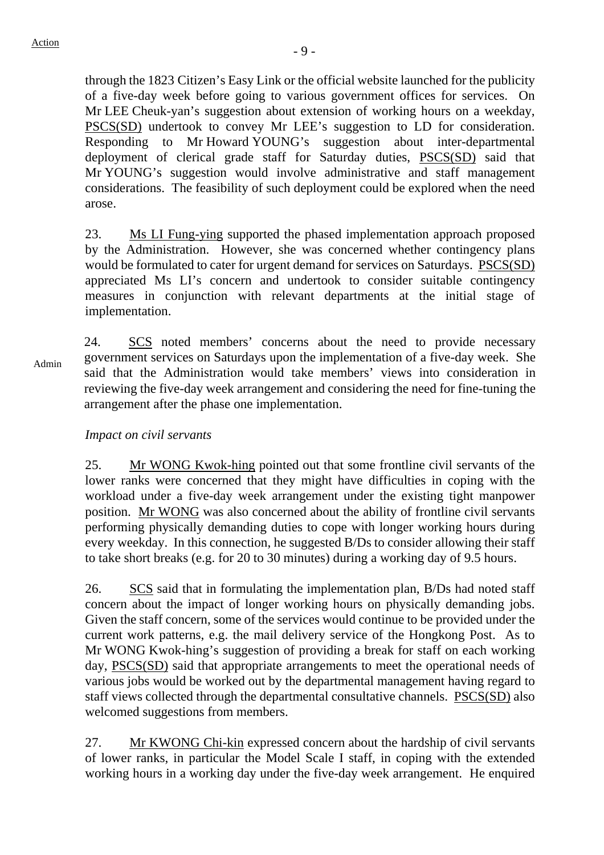through the 1823 Citizen's Easy Link or the official website launched for the publicity of a five-day week before going to various government offices for services. On Mr LEE Cheuk-yan's suggestion about extension of working hours on a weekday, PSCS(SD) undertook to convey Mr LEE's suggestion to LD for consideration. Responding to Mr Howard YOUNG's suggestion about inter-departmental deployment of clerical grade staff for Saturday duties, PSCS(SD) said that Mr YOUNG's suggestion would involve administrative and staff management considerations. The feasibility of such deployment could be explored when the need arose.

23. Ms LI Fung-ying supported the phased implementation approach proposed by the Administration. However, she was concerned whether contingency plans would be formulated to cater for urgent demand for services on Saturdays. PSCS(SD) appreciated Ms LI's concern and undertook to consider suitable contingency measures in conjunction with relevant departments at the initial stage of implementation.

Admin

24. SCS noted members' concerns about the need to provide necessary government services on Saturdays upon the implementation of a five-day week. She said that the Administration would take members' views into consideration in reviewing the five-day week arrangement and considering the need for fine-tuning the arrangement after the phase one implementation.

*Impact on civil servants* 

25. Mr WONG Kwok-hing pointed out that some frontline civil servants of the lower ranks were concerned that they might have difficulties in coping with the workload under a five-day week arrangement under the existing tight manpower position. Mr WONG was also concerned about the ability of frontline civil servants performing physically demanding duties to cope with longer working hours during every weekday. In this connection, he suggested B/Ds to consider allowing their staff to take short breaks (e.g. for 20 to 30 minutes) during a working day of 9.5 hours.

26. SCS said that in formulating the implementation plan, B/Ds had noted staff concern about the impact of longer working hours on physically demanding jobs. Given the staff concern, some of the services would continue to be provided under the current work patterns, e.g. the mail delivery service of the Hongkong Post. As to Mr WONG Kwok-hing's suggestion of providing a break for staff on each working day, PSCS(SD) said that appropriate arrangements to meet the operational needs of various jobs would be worked out by the departmental management having regard to staff views collected through the departmental consultative channels. PSCS(SD) also welcomed suggestions from members.

27. Mr KWONG Chi-kin expressed concern about the hardship of civil servants of lower ranks, in particular the Model Scale I staff, in coping with the extended working hours in a working day under the five-day week arrangement. He enquired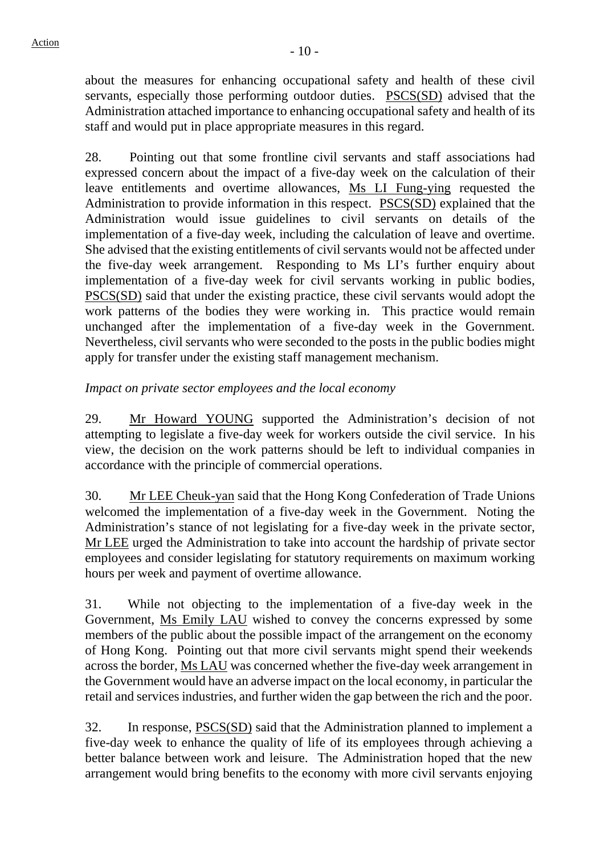about the measures for enhancing occupational safety and health of these civil servants, especially those performing outdoor duties. PSCS(SD) advised that the Administration attached importance to enhancing occupational safety and health of its staff and would put in place appropriate measures in this regard.

28. Pointing out that some frontline civil servants and staff associations had expressed concern about the impact of a five-day week on the calculation of their leave entitlements and overtime allowances, Ms LI Fung-ying requested the Administration to provide information in this respect. PSCS(SD) explained that the Administration would issue guidelines to civil servants on details of the implementation of a five-day week, including the calculation of leave and overtime. She advised that the existing entitlements of civil servants would not be affected under the five-day week arrangement. Responding to Ms LI's further enquiry about implementation of a five-day week for civil servants working in public bodies, PSCS(SD) said that under the existing practice, these civil servants would adopt the work patterns of the bodies they were working in. This practice would remain unchanged after the implementation of a five-day week in the Government. Nevertheless, civil servants who were seconded to the posts in the public bodies might apply for transfer under the existing staff management mechanism.

# *Impact on private sector employees and the local economy*

29. Mr Howard YOUNG supported the Administration's decision of not attempting to legislate a five-day week for workers outside the civil service. In his view, the decision on the work patterns should be left to individual companies in accordance with the principle of commercial operations.

30. Mr LEE Cheuk-yan said that the Hong Kong Confederation of Trade Unions welcomed the implementation of a five-day week in the Government. Noting the Administration's stance of not legislating for a five-day week in the private sector, Mr LEE urged the Administration to take into account the hardship of private sector employees and consider legislating for statutory requirements on maximum working hours per week and payment of overtime allowance.

31. While not objecting to the implementation of a five-day week in the Government, Ms Emily LAU wished to convey the concerns expressed by some members of the public about the possible impact of the arrangement on the economy of Hong Kong. Pointing out that more civil servants might spend their weekends across the border, Ms LAU was concerned whether the five-day week arrangement in the Government would have an adverse impact on the local economy, in particular the retail and services industries, and further widen the gap between the rich and the poor.

32. In response, PSCS(SD) said that the Administration planned to implement a five-day week to enhance the quality of life of its employees through achieving a better balance between work and leisure. The Administration hoped that the new arrangement would bring benefits to the economy with more civil servants enjoying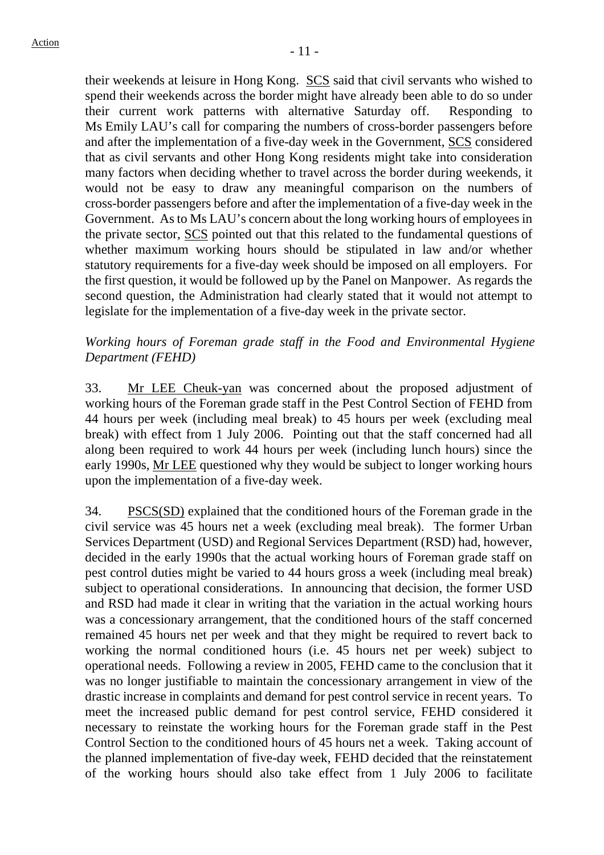their weekends at leisure in Hong Kong. SCS said that civil servants who wished to spend their weekends across the border might have already been able to do so under their current work patterns with alternative Saturday off. Responding to Ms Emily LAU's call for comparing the numbers of cross-border passengers before and after the implementation of a five-day week in the Government, SCS considered that as civil servants and other Hong Kong residents might take into consideration many factors when deciding whether to travel across the border during weekends, it would not be easy to draw any meaningful comparison on the numbers of cross-border passengers before and after the implementation of a five-day week in the Government. As to Ms LAU's concern about the long working hours of employees in the private sector, SCS pointed out that this related to the fundamental questions of whether maximum working hours should be stipulated in law and/or whether statutory requirements for a five-day week should be imposed on all employers. For the first question, it would be followed up by the Panel on Manpower. As regards the second question, the Administration had clearly stated that it would not attempt to legislate for the implementation of a five-day week in the private sector.

### *Working hours of Foreman grade staff in the Food and Environmental Hygiene Department (FEHD)*

33. Mr LEE Cheuk-yan was concerned about the proposed adjustment of working hours of the Foreman grade staff in the Pest Control Section of FEHD from 44 hours per week (including meal break) to 45 hours per week (excluding meal break) with effect from 1 July 2006. Pointing out that the staff concerned had all along been required to work 44 hours per week (including lunch hours) since the early 1990s, Mr LEE questioned why they would be subject to longer working hours upon the implementation of a five-day week.

34. PSCS(SD) explained that the conditioned hours of the Foreman grade in the civil service was 45 hours net a week (excluding meal break). The former Urban Services Department (USD) and Regional Services Department (RSD) had, however, decided in the early 1990s that the actual working hours of Foreman grade staff on pest control duties might be varied to 44 hours gross a week (including meal break) subject to operational considerations. In announcing that decision, the former USD and RSD had made it clear in writing that the variation in the actual working hours was a concessionary arrangement, that the conditioned hours of the staff concerned remained 45 hours net per week and that they might be required to revert back to working the normal conditioned hours (i.e. 45 hours net per week) subject to operational needs. Following a review in 2005, FEHD came to the conclusion that it was no longer justifiable to maintain the concessionary arrangement in view of the drastic increase in complaints and demand for pest control service in recent years. To meet the increased public demand for pest control service, FEHD considered it necessary to reinstate the working hours for the Foreman grade staff in the Pest Control Section to the conditioned hours of 45 hours net a week. Taking account of the planned implementation of five-day week, FEHD decided that the reinstatement of the working hours should also take effect from 1 July 2006 to facilitate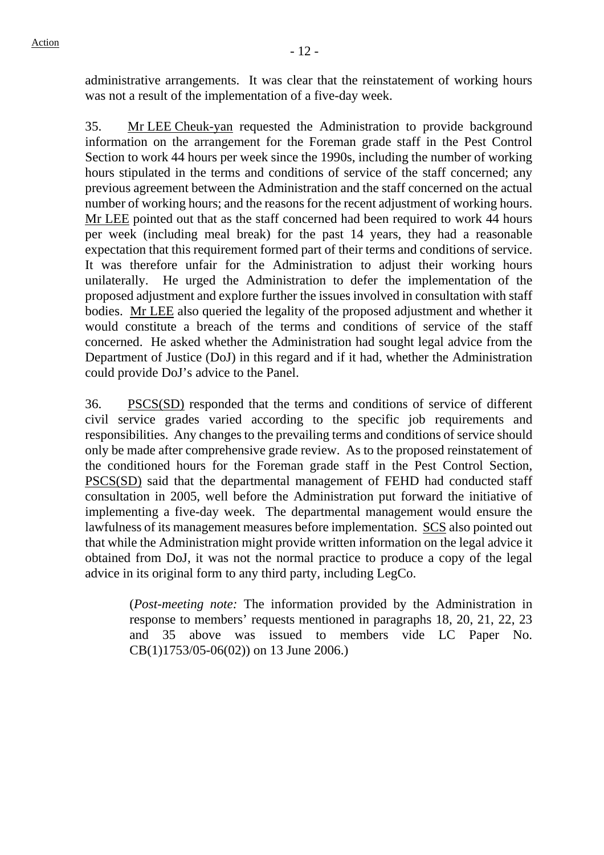administrative arrangements. It was clear that the reinstatement of working hours was not a result of the implementation of a five-day week.

35. Mr LEE Cheuk-yan requested the Administration to provide background information on the arrangement for the Foreman grade staff in the Pest Control Section to work 44 hours per week since the 1990s, including the number of working hours stipulated in the terms and conditions of service of the staff concerned; any previous agreement between the Administration and the staff concerned on the actual number of working hours; and the reasons for the recent adjustment of working hours. Mr LEE pointed out that as the staff concerned had been required to work 44 hours per week (including meal break) for the past 14 years, they had a reasonable expectation that this requirement formed part of their terms and conditions of service. It was therefore unfair for the Administration to adjust their working hours unilaterally. He urged the Administration to defer the implementation of the proposed adjustment and explore further the issues involved in consultation with staff bodies. Mr LEE also queried the legality of the proposed adjustment and whether it would constitute a breach of the terms and conditions of service of the staff concerned. He asked whether the Administration had sought legal advice from the Department of Justice (DoJ) in this regard and if it had, whether the Administration could provide DoJ's advice to the Panel.

36. PSCS(SD) responded that the terms and conditions of service of different civil service grades varied according to the specific job requirements and responsibilities. Any changes to the prevailing terms and conditions of service should only be made after comprehensive grade review. As to the proposed reinstatement of the conditioned hours for the Foreman grade staff in the Pest Control Section, PSCS(SD) said that the departmental management of FEHD had conducted staff consultation in 2005, well before the Administration put forward the initiative of implementing a five-day week. The departmental management would ensure the lawfulness of its management measures before implementation. SCS also pointed out that while the Administration might provide written information on the legal advice it obtained from DoJ, it was not the normal practice to produce a copy of the legal advice in its original form to any third party, including LegCo.

(*Post-meeting note:* The information provided by the Administration in response to members' requests mentioned in paragraphs 18, 20, 21, 22, 23 and 35 above was issued to members vide LC Paper No. CB(1)1753/05-06(02)) on 13 June 2006.)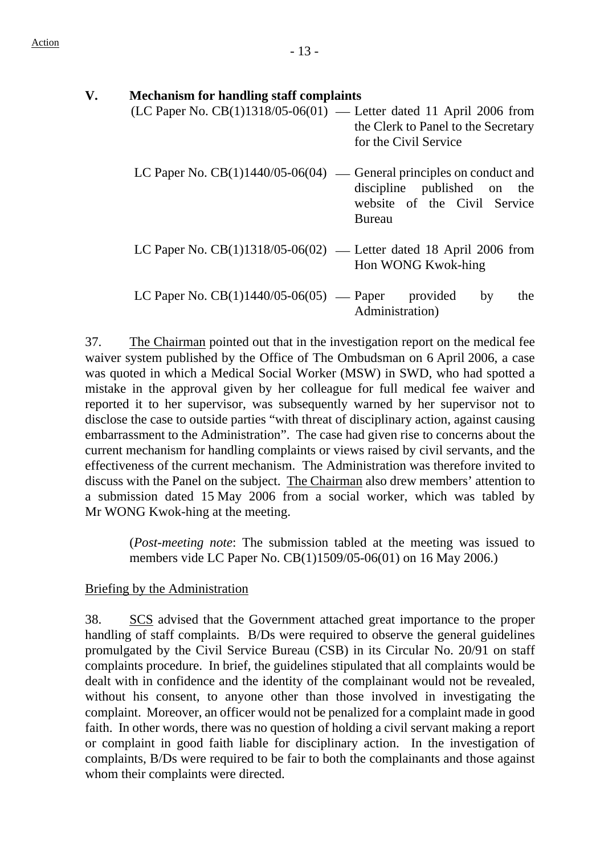| V. | <b>Mechanism for handling staff complaints</b>                                                                                                         |
|----|--------------------------------------------------------------------------------------------------------------------------------------------------------|
|    | $(LC$ Paper No. $CB(1)1318/05-06(01)$ — Letter dated 11 April 2006 from<br>the Clerk to Panel to the Secretary<br>for the Civil Service                |
|    | LC Paper No. $CB(1)1440/05-06(04)$ — General principles on conduct and<br>discipline published on the<br>website of the Civil Service<br><b>Bureau</b> |
|    | LC Paper No. $CB(1)1318/05-06(02)$ — Letter dated 18 April 2006 from<br>Hon WONG Kwok-hing                                                             |
|    | LC Paper No. $CB(1)1440/05-06(05)$ — Paper<br>provided<br>the<br>by<br>Administration)                                                                 |

37. The Chairman pointed out that in the investigation report on the medical fee waiver system published by the Office of The Ombudsman on 6 April 2006, a case was quoted in which a Medical Social Worker (MSW) in SWD, who had spotted a mistake in the approval given by her colleague for full medical fee waiver and reported it to her supervisor, was subsequently warned by her supervisor not to disclose the case to outside parties "with threat of disciplinary action, against causing embarrassment to the Administration". The case had given rise to concerns about the current mechanism for handling complaints or views raised by civil servants, and the effectiveness of the current mechanism. The Administration was therefore invited to discuss with the Panel on the subject. The Chairman also drew members' attention to a submission dated 15 May 2006 from a social worker, which was tabled by Mr WONG Kwok-hing at the meeting.

(*Post-meeting note*: The submission tabled at the meeting was issued to members vide LC Paper No. CB(1)1509/05-06(01) on 16 May 2006.)

### Briefing by the Administration

38. SCS advised that the Government attached great importance to the proper handling of staff complaints. B/Ds were required to observe the general guidelines promulgated by the Civil Service Bureau (CSB) in its Circular No. 20/91 on staff complaints procedure. In brief, the guidelines stipulated that all complaints would be dealt with in confidence and the identity of the complainant would not be revealed, without his consent, to anyone other than those involved in investigating the complaint. Moreover, an officer would not be penalized for a complaint made in good faith. In other words, there was no question of holding a civil servant making a report or complaint in good faith liable for disciplinary action. In the investigation of complaints, B/Ds were required to be fair to both the complainants and those against whom their complaints were directed.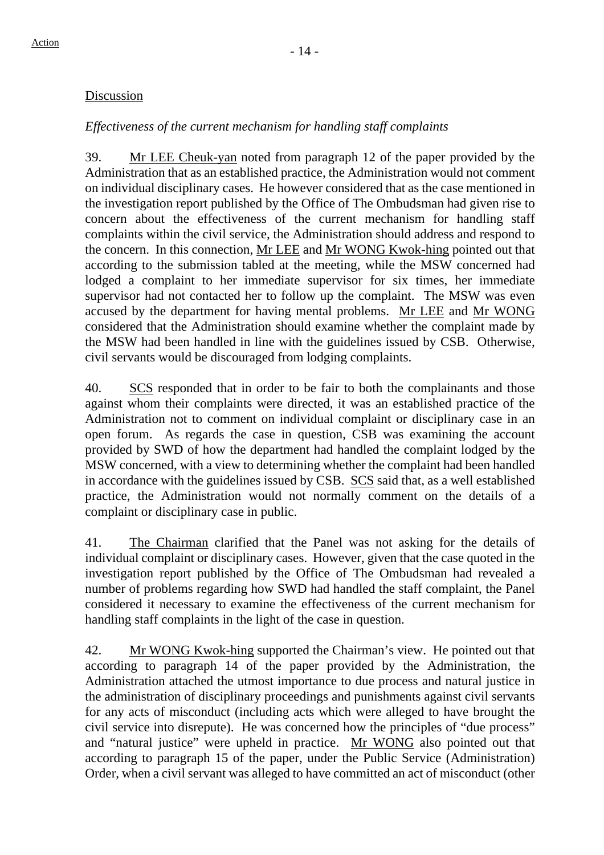# Discussion

# *Effectiveness of the current mechanism for handling staff complaints*

39. Mr LEE Cheuk-yan noted from paragraph 12 of the paper provided by the Administration that as an established practice, the Administration would not comment on individual disciplinary cases. He however considered that as the case mentioned in the investigation report published by the Office of The Ombudsman had given rise to concern about the effectiveness of the current mechanism for handling staff complaints within the civil service, the Administration should address and respond to the concern. In this connection, Mr LEE and Mr WONG Kwok-hing pointed out that according to the submission tabled at the meeting, while the MSW concerned had lodged a complaint to her immediate supervisor for six times, her immediate supervisor had not contacted her to follow up the complaint. The MSW was even accused by the department for having mental problems. Mr LEE and Mr WONG considered that the Administration should examine whether the complaint made by the MSW had been handled in line with the guidelines issued by CSB. Otherwise, civil servants would be discouraged from lodging complaints.

40. SCS responded that in order to be fair to both the complainants and those against whom their complaints were directed, it was an established practice of the Administration not to comment on individual complaint or disciplinary case in an open forum. As regards the case in question, CSB was examining the account provided by SWD of how the department had handled the complaint lodged by the MSW concerned, with a view to determining whether the complaint had been handled in accordance with the guidelines issued by CSB. SCS said that, as a well established practice, the Administration would not normally comment on the details of a complaint or disciplinary case in public.

41. The Chairman clarified that the Panel was not asking for the details of individual complaint or disciplinary cases. However, given that the case quoted in the investigation report published by the Office of The Ombudsman had revealed a number of problems regarding how SWD had handled the staff complaint, the Panel considered it necessary to examine the effectiveness of the current mechanism for handling staff complaints in the light of the case in question.

42. Mr WONG Kwok-hing supported the Chairman's view. He pointed out that according to paragraph 14 of the paper provided by the Administration, the Administration attached the utmost importance to due process and natural justice in the administration of disciplinary proceedings and punishments against civil servants for any acts of misconduct (including acts which were alleged to have brought the civil service into disrepute). He was concerned how the principles of "due process" and "natural justice" were upheld in practice. Mr WONG also pointed out that according to paragraph 15 of the paper, under the Public Service (Administration) Order, when a civil servant was alleged to have committed an act of misconduct (other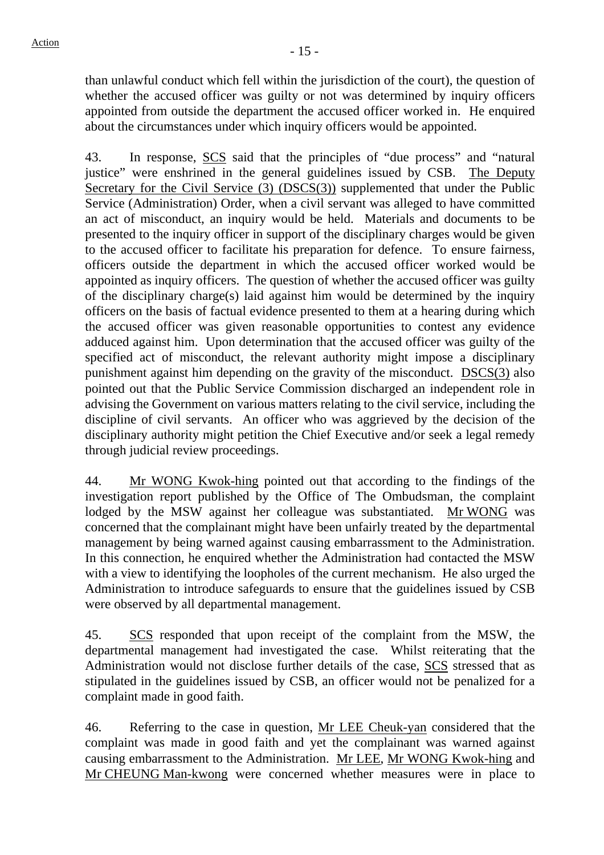than unlawful conduct which fell within the jurisdiction of the court), the question of whether the accused officer was guilty or not was determined by inquiry officers appointed from outside the department the accused officer worked in. He enquired about the circumstances under which inquiry officers would be appointed.

43. In response, SCS said that the principles of "due process" and "natural justice" were enshrined in the general guidelines issued by CSB. The Deputy Secretary for the Civil Service (3) (DSCS(3)) supplemented that under the Public Service (Administration) Order, when a civil servant was alleged to have committed an act of misconduct, an inquiry would be held. Materials and documents to be presented to the inquiry officer in support of the disciplinary charges would be given to the accused officer to facilitate his preparation for defence. To ensure fairness, officers outside the department in which the accused officer worked would be appointed as inquiry officers. The question of whether the accused officer was guilty of the disciplinary charge(s) laid against him would be determined by the inquiry officers on the basis of factual evidence presented to them at a hearing during which the accused officer was given reasonable opportunities to contest any evidence adduced against him. Upon determination that the accused officer was guilty of the specified act of misconduct, the relevant authority might impose a disciplinary punishment against him depending on the gravity of the misconduct. DSCS(3) also pointed out that the Public Service Commission discharged an independent role in advising the Government on various matters relating to the civil service, including the discipline of civil servants. An officer who was aggrieved by the decision of the disciplinary authority might petition the Chief Executive and/or seek a legal remedy through judicial review proceedings.

44. Mr WONG Kwok-hing pointed out that according to the findings of the investigation report published by the Office of The Ombudsman, the complaint lodged by the MSW against her colleague was substantiated. Mr WONG was concerned that the complainant might have been unfairly treated by the departmental management by being warned against causing embarrassment to the Administration. In this connection, he enquired whether the Administration had contacted the MSW with a view to identifying the loopholes of the current mechanism. He also urged the Administration to introduce safeguards to ensure that the guidelines issued by CSB were observed by all departmental management.

45. SCS responded that upon receipt of the complaint from the MSW, the departmental management had investigated the case. Whilst reiterating that the Administration would not disclose further details of the case, SCS stressed that as stipulated in the guidelines issued by CSB, an officer would not be penalized for a complaint made in good faith.

46. Referring to the case in question, Mr LEE Cheuk-yan considered that the complaint was made in good faith and yet the complainant was warned against causing embarrassment to the Administration. Mr LEE, Mr WONG Kwok-hing and Mr CHEUNG Man-kwong were concerned whether measures were in place to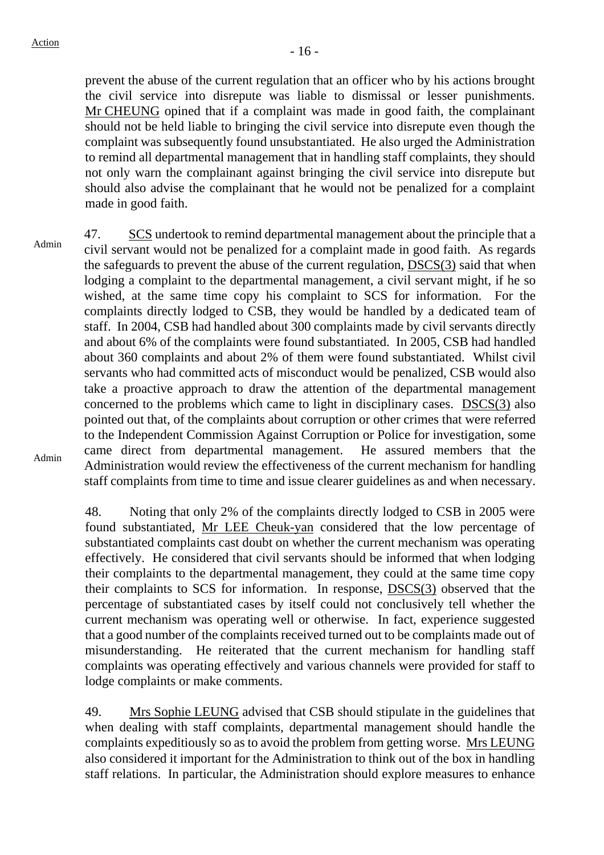prevent the abuse of the current regulation that an officer who by his actions brought the civil service into disrepute was liable to dismissal or lesser punishments. Mr CHEUNG opined that if a complaint was made in good faith, the complainant should not be held liable to bringing the civil service into disrepute even though the complaint was subsequently found unsubstantiated. He also urged the Administration to remind all departmental management that in handling staff complaints, they should not only warn the complainant against bringing the civil service into disrepute but should also advise the complainant that he would not be penalized for a complaint made in good faith.

Admin Admin 47. SCS undertook to remind departmental management about the principle that a civil servant would not be penalized for a complaint made in good faith. As regards the safeguards to prevent the abuse of the current regulation, DSCS(3) said that when lodging a complaint to the departmental management, a civil servant might, if he so wished, at the same time copy his complaint to SCS for information. For the complaints directly lodged to CSB, they would be handled by a dedicated team of staff. In 2004, CSB had handled about 300 complaints made by civil servants directly and about 6% of the complaints were found substantiated. In 2005, CSB had handled about 360 complaints and about 2% of them were found substantiated. Whilst civil servants who had committed acts of misconduct would be penalized, CSB would also take a proactive approach to draw the attention of the departmental management concerned to the problems which came to light in disciplinary cases. DSCS(3) also pointed out that, of the complaints about corruption or other crimes that were referred to the Independent Commission Against Corruption or Police for investigation, some came direct from departmental management. He assured members that the Administration would review the effectiveness of the current mechanism for handling staff complaints from time to time and issue clearer guidelines as and when necessary.

> 48. Noting that only 2% of the complaints directly lodged to CSB in 2005 were found substantiated, Mr LEE Cheuk-yan considered that the low percentage of substantiated complaints cast doubt on whether the current mechanism was operating effectively. He considered that civil servants should be informed that when lodging their complaints to the departmental management, they could at the same time copy their complaints to SCS for information. In response, DSCS(3) observed that the percentage of substantiated cases by itself could not conclusively tell whether the current mechanism was operating well or otherwise. In fact, experience suggested that a good number of the complaints received turned out to be complaints made out of misunderstanding. He reiterated that the current mechanism for handling staff complaints was operating effectively and various channels were provided for staff to lodge complaints or make comments.

> 49. Mrs Sophie LEUNG advised that CSB should stipulate in the guidelines that when dealing with staff complaints, departmental management should handle the complaints expeditiously so as to avoid the problem from getting worse. Mrs LEUNG also considered it important for the Administration to think out of the box in handling staff relations. In particular, the Administration should explore measures to enhance